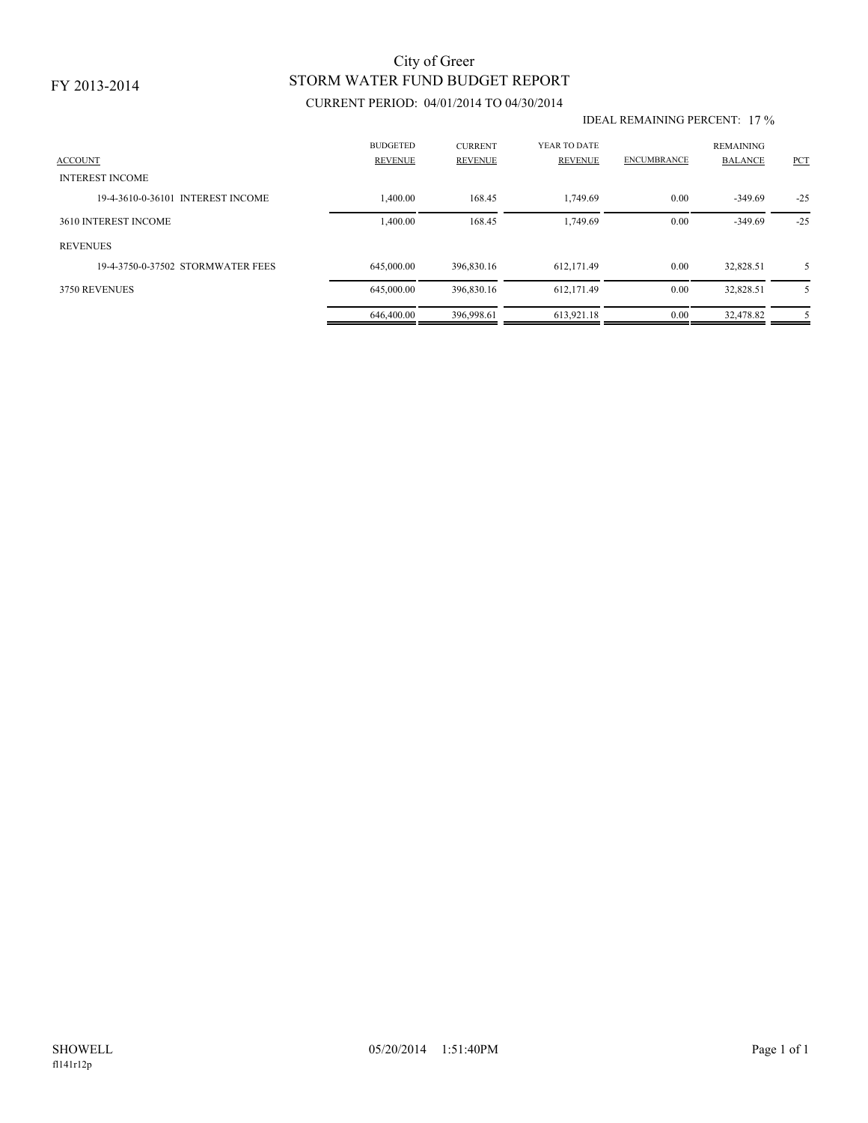# STORM WATER FUND BUDGET REPORT City of Greer

### CURRENT PERIOD: 04/01/2014 TO 04/30/2014

#### IDEAL REMAINING PERCENT: 17 %

| <b>ACCOUNT</b><br><b>INTEREST INCOME</b> | <b>BUDGETED</b><br><b>REVENUE</b> | <b>CURRENT</b><br><b>REVENUE</b> | YEAR TO DATE<br><b>REVENUE</b> | <b>ENCUMBRANCE</b> | <b>REMAINING</b><br><b>BALANCE</b> | PCT   |
|------------------------------------------|-----------------------------------|----------------------------------|--------------------------------|--------------------|------------------------------------|-------|
| 19-4-3610-0-36101 INTEREST INCOME        | 1,400.00                          | 168.45                           | 1.749.69                       | 0.00               | $-349.69$                          | $-25$ |
| 3610 INTEREST INCOME                     | 1,400.00                          | 168.45                           | 1.749.69                       | 0.00               | $-349.69$                          | $-25$ |
| <b>REVENUES</b>                          |                                   |                                  |                                |                    |                                    |       |
| 19-4-3750-0-37502 STORMWATER FEES        | 645,000.00                        | 396.830.16                       | 612.171.49                     | 0.00               | 32.828.51                          | 5     |
| 3750 REVENUES                            | 645,000.00                        | 396,830.16                       | 612,171.49                     | 0.00               | 32,828.51                          | 5     |
|                                          | 646,400.00                        | 396.998.61                       | 613.921.18                     | 0.00               | 32.478.82                          | 5     |